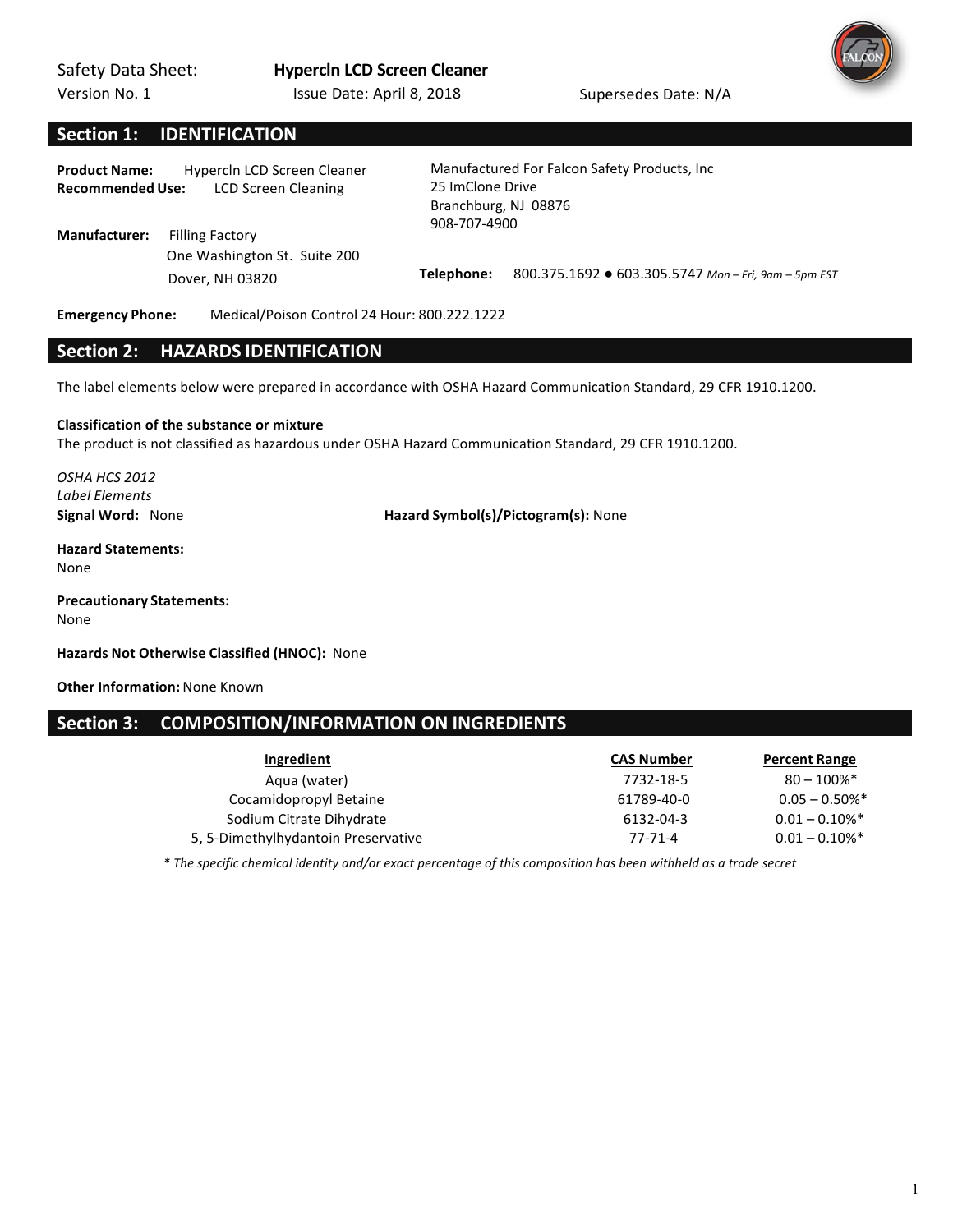Version No. 1



# **Section 1: IDENTIFICATION**

Product Name: Hypercln LCD Screen Cleaner **Recommended Use:** LCD Screen Cleaning

**Manufacturer:** Filling Factory One Washington St. Suite 200  Manufactured For Falcon Safety Products, Inc

25 ImClone Drive Branchburg, NJ 08876 908-707-4900

Dover, NH 03820 **Telephone:**  800.375.1692 ● 603.305.5747 *Mon – Fri, 9am – 5pm EST*

**Emergency Phone:** Medical/Poison Control 24 Hour: 800.222.1222

## **Section 2: HAZARDS IDENTIFICATION**

The label elements below were prepared in accordance with OSHA Hazard Communication Standard, 29 CFR 1910.1200.

#### **Classification of the substance or mixture**

The product is not classified as hazardous under OSHA Hazard Communication Standard, 29 CFR 1910.1200.

*OSHA HCS 2012 Label Elements*

**Signal Word:** None **Hazard Symbol(s)/Pictogram(s):** None

#### **Hazard Statements:** None

**Precautionary Statements:** None

Hazards Not Otherwise Classified (HNOC): None

**Other Information:** None Known

# Section 3: COMPOSITION/INFORMATION ON INGREDIENTS

| Ingredient                          | <b>CAS Number</b> | <b>Percent Range</b>         |
|-------------------------------------|-------------------|------------------------------|
| Aqua (water)                        | 7732-18-5         | $80 - 100\%$ <sup>*</sup>    |
| Cocamidopropyl Betaine              | 61789-40-0        | $0.05 - 0.50\%$ *            |
| Sodium Citrate Dihydrate            | 6132-04-3         | $0.01 - 0.10\%$ <sup>*</sup> |
| 5, 5-Dimethylhydantoin Preservative | 77-71-4           | $0.01 - 0.10\%$ <sup>*</sup> |

*\* The specific chemical identity and/or exact percentage of this composition has been withheld as a trade secret*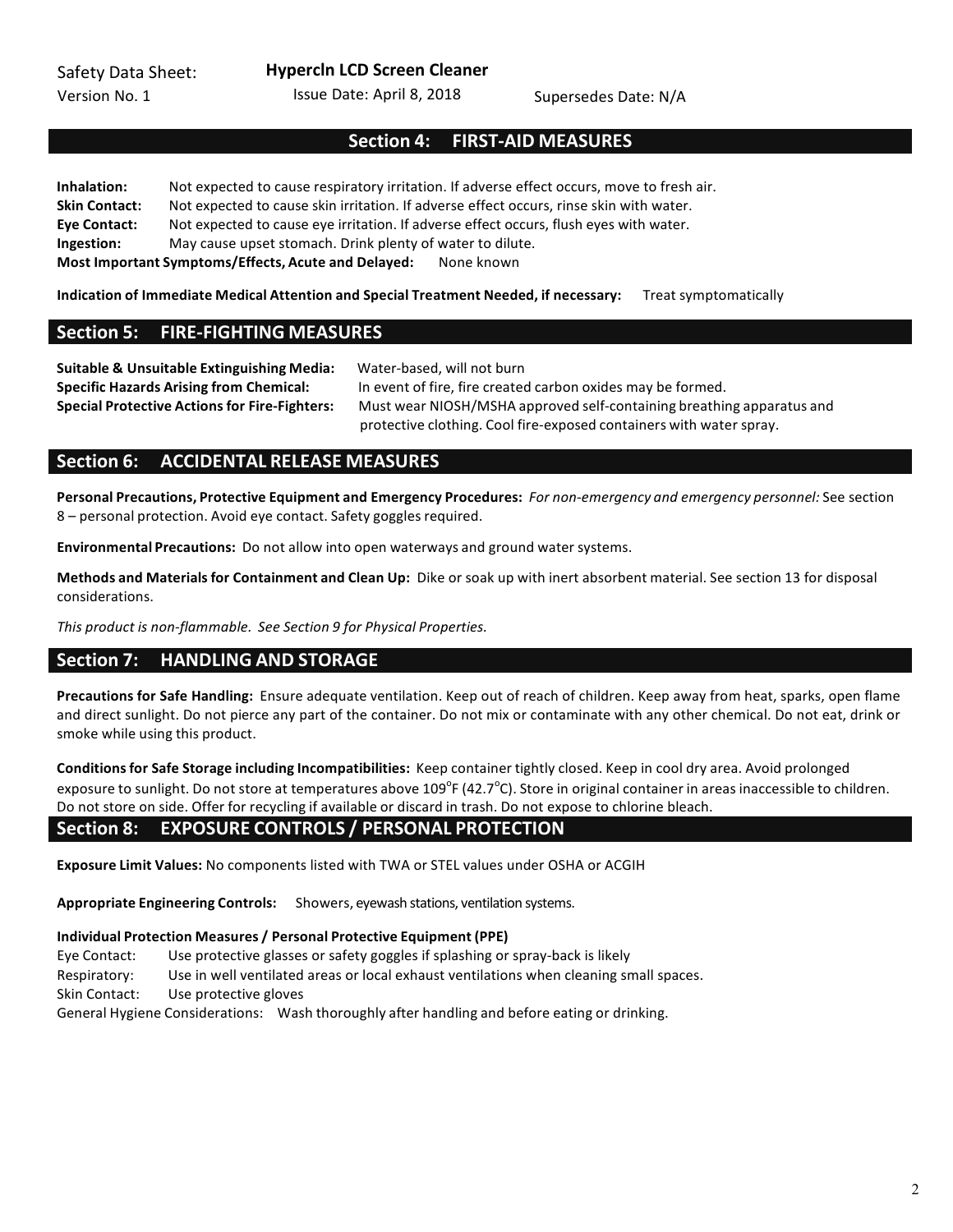**Hypercln LCD Screen Cleaner**

Issue Date: April 8, 2018 Supersedes Date: N/A

# Section 4: FIRST-AID MEASURES

**Inhalation:** Not expected to cause respiratory irritation. If adverse effect occurs, move to fresh air. **Skin Contact:** Not expected to cause skin irritation. If adverse effect occurs, rinse skin with water. Eye Contact: Not expected to cause eye irritation. If adverse effect occurs, flush eyes with water. **Ingestion:** May cause upset stomach. Drink plenty of water to dilute. **Most Important Symptoms/Effects, Acute and Delayed:** None known

**Indication of Immediate Medical Attention and Special Treatment Needed, if necessary:** Treat symptomatically

## **Section 5: FIRE-FIGHTING MEASURES**

**Suitable & Unsuitable Extinguishing Media:** Water-based, will not burn

**Specific Hazards Arising from Chemical:** In event of fire, fire created carbon oxides may be formed. **Special Protective Actions for Fire-Fighters:** Must wear NIOSH/MSHA approved self-containing breathing apparatus and protective clothing. Cool fire-exposed containers with water spray.

# **Section 6: ACCIDENTAL RELEASE MEASURES**

Personal Precautions, Protective Equipment and Emergency Procedures: For non-emergency and emergency personnel: See section 8 – personal protection. Avoid eye contact. Safety goggles required.

**Environmental Precautions:** Do not allow into open waterways and ground water systems.

**Methods and Materials for Containment and Clean Up:** Dike or soak up with inert absorbent material. See section 13 for disposal considerations. 

*This product is non-flammable.* See Section 9 for Physical Properties.

# **Section 7: HANDLING AND STORAGE**

**Precautions for Safe Handling:** Ensure adequate ventilation. Keep out of reach of children. Keep away from heat, sparks, open flame and direct sunlight. Do not pierce any part of the container. Do not mix or contaminate with any other chemical. Do not eat, drink or smoke while using this product.

Conditions for Safe Storage including Incompatibilities: Keep container tightly closed. Keep in cool dry area. Avoid prolonged exposure to sunlight. Do not store at temperatures above 109 $^{\circ}$ F (42.7 $^{\circ}$ C). Store in original container in areas inaccessible to children. Do not store on side. Offer for recycling if available or discard in trash. Do not expose to chlorine bleach.

# Section 8: EXPOSURE CONTROLS / PERSONAL PROTECTION

**Exposure Limit Values:** No components listed with TWA or STEL values under OSHA or ACGIH

**Appropriate Engineering Controls:** Showers, eyewash stations, ventilation systems.

### **Individual Protection Measures / Personal Protective Equipment (PPE)**

Eye Contact: Use protective glasses or safety goggles if splashing or spray-back is likely

Respiratory: Use in well ventilated areas or local exhaust ventilations when cleaning small spaces.

Skin Contact: Use protective gloves

General Hygiene Considerations: Wash thoroughly after handling and before eating or drinking.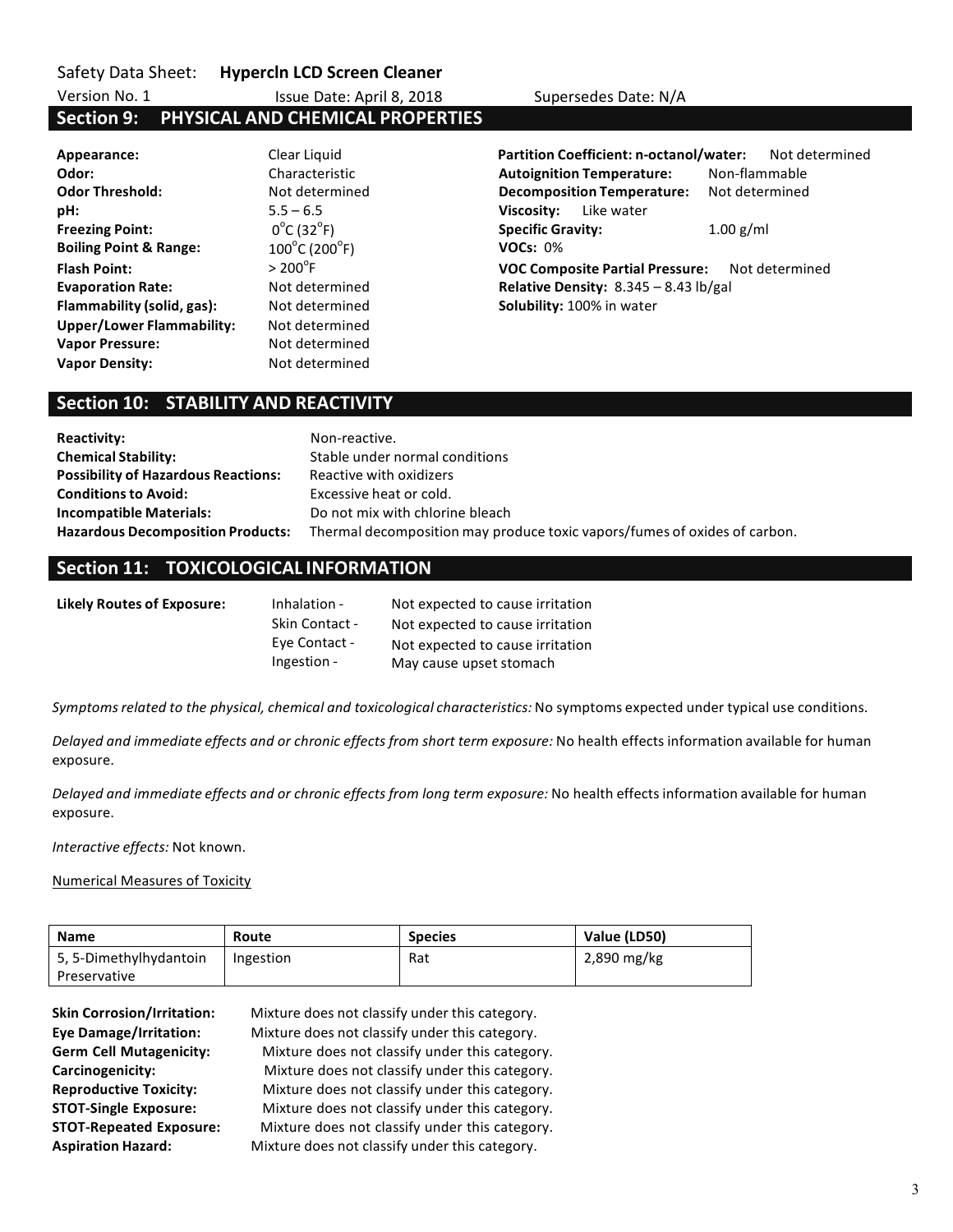Safety Data Sheet: **Hypercln LCD Screen Cleaner** 

Issue Date: April 8, 2018 Supersedes Date: N/A

# Version No. 1 **Section 9: PHYSICAL AND CHEMICAL PROPERTIES**

| Appearance:                       | Clear Liquid                       |
|-----------------------------------|------------------------------------|
| Odor:                             | Characteristic                     |
| <b>Odor Threshold:</b>            | Not determined                     |
| pH:                               | $5.5 - 6.5$                        |
| <b>Freezing Point:</b>            | $0^{\circ}$ C (32 $^{\circ}$ F)    |
| <b>Boiling Point &amp; Range:</b> | $100^{\circ}$ C (200 $^{\circ}$ F) |
| <b>Flash Point:</b>               | $> 200^{\circ}$ F                  |
| <b>Evaporation Rate:</b>          | Not determined                     |
| Flammability (solid, gas):        | Not determined                     |
| <b>Upper/Lower Flammability:</b>  | Not determined                     |
| <b>Vapor Pressure:</b>            | Not determined                     |
| <b>Vapor Density:</b>             | Not determined                     |

d **Appearance:** Partition Coefficient: n-octanol/water: Not determined **Autoignition Temperature:** Non-flammable **Decomposition Temperature:** Not determined **Viscosity:** Like water **Specific Gravity:** 1.00 g/ml **VOCs: 0% VOC Composite Partial Pressure:** Not determined **Evaluary Relative Density:** 8.345 – 8.43 lb/gal **Filammability:** 100% in water

# **Section 10: STABILITY AND REACTIVITY**

| <b>Reactivity:</b>                         | Non-reactive.                                                             |
|--------------------------------------------|---------------------------------------------------------------------------|
| <b>Chemical Stability:</b>                 | Stable under normal conditions                                            |
| <b>Possibility of Hazardous Reactions:</b> | Reactive with oxidizers                                                   |
| <b>Conditions to Avoid:</b>                | Excessive heat or cold.                                                   |
| <b>Incompatible Materials:</b>             | Do not mix with chlorine bleach                                           |
| <b>Hazardous Decomposition Products:</b>   | Thermal decomposition may produce toxic vapors/fumes of oxides of carbon. |

# **Section 11: TOXICOLOGICAL INFORMATION**

| Likely Routes of Exposure: | Inhalation -   | Not expected to cause irritation |
|----------------------------|----------------|----------------------------------|
|                            | Skin Contact - | Not expected to cause irritation |
|                            | Eye Contact -  | Not expected to cause irritation |
|                            | Ingestion -    | May cause upset stomach          |

Symptoms related to the physical, chemical and toxicological characteristics: No symptoms expected under typical use conditions.

*Delayed and immediate effects and or chronic effects from short term exposure:* No health effects information available for human exposure. 

*Delayed and immediate effects and or chronic effects from long term exposure:* No health effects information available for human exposure. 

*Interactive effects:* Not known.

### **Numerical Measures of Toxicity**

| <b>Name</b>            | Route     | <b>Species</b> | Value (LD50) |
|------------------------|-----------|----------------|--------------|
| 5, 5-Dimethylhydantoin | Ingestion | Rat            | 2,890 mg/kg  |
| Preservative           |           |                |              |

| <b>Skin Corrosion/Irritation:</b> | Mixture does not classify under this category. |
|-----------------------------------|------------------------------------------------|
| <b>Eye Damage/Irritation:</b>     | Mixture does not classify under this category. |
| <b>Germ Cell Mutagenicity:</b>    | Mixture does not classify under this category. |
| Carcinogenicity:                  | Mixture does not classify under this category. |
| <b>Reproductive Toxicity:</b>     | Mixture does not classify under this category. |
| <b>STOT-Single Exposure:</b>      | Mixture does not classify under this category. |
| <b>STOT-Repeated Exposure:</b>    | Mixture does not classify under this category. |
| <b>Aspiration Hazard:</b>         | Mixture does not classify under this category. |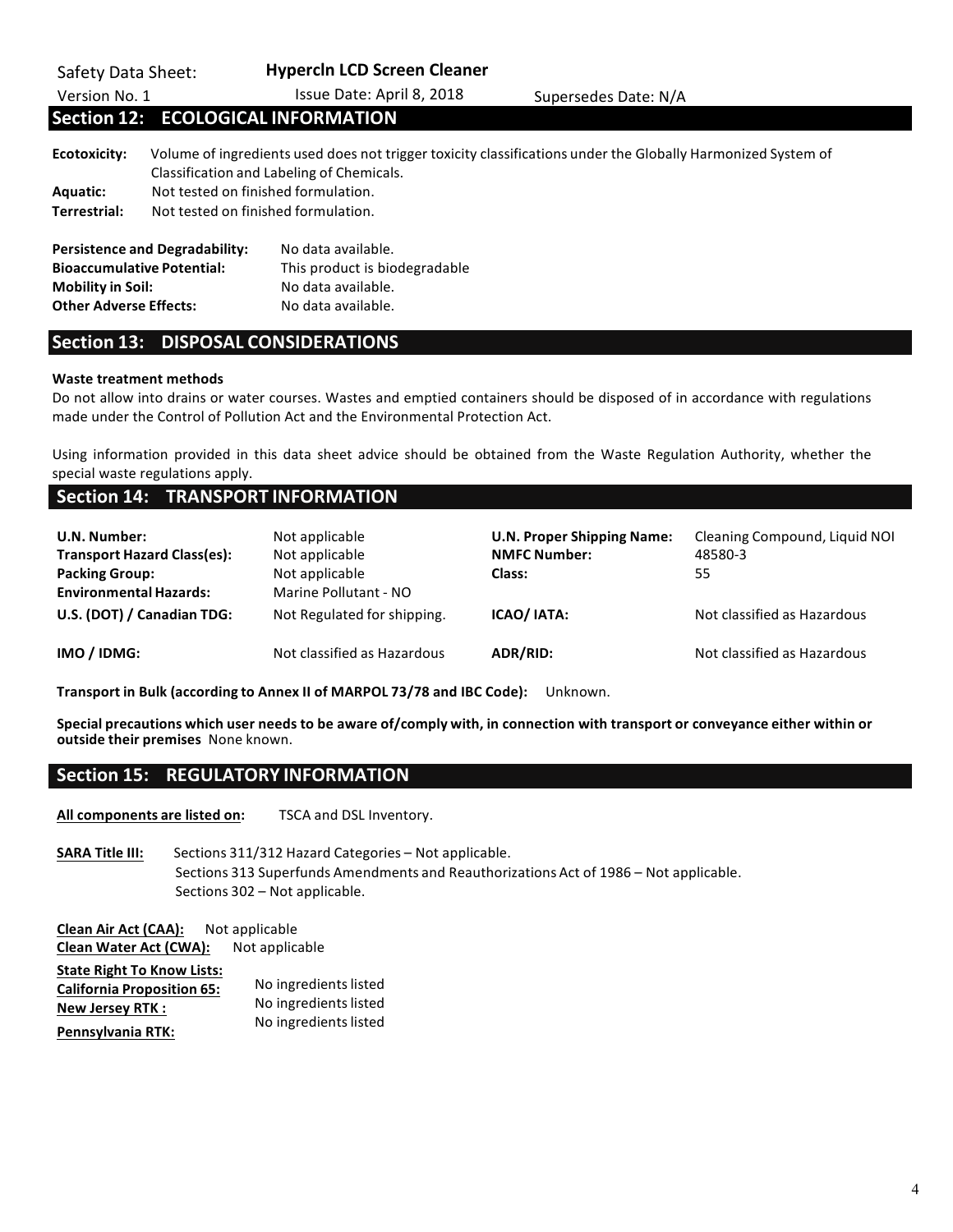| Safety Data Sheet:<br>Version No. 1                                                            |                                                                            | <b>Hypercin LCD Screen Cleaner</b><br>Issue Date: April 8, 2018                                 | Supersedes Date: N/A                                                                                         |
|------------------------------------------------------------------------------------------------|----------------------------------------------------------------------------|-------------------------------------------------------------------------------------------------|--------------------------------------------------------------------------------------------------------------|
|                                                                                                |                                                                            | <b>Section 12: ECOLOGICAL INFORMATION</b>                                                       |                                                                                                              |
| <b>Ecotoxicity:</b><br>Aquatic:<br>Terrestrial:                                                | Not tested on finished formulation.<br>Not tested on finished formulation. | Classification and Labeling of Chemicals.                                                       | Volume of ingredients used does not trigger toxicity classifications under the Globally Harmonized System of |
| <b>Bioaccumulative Potential:</b><br><b>Mobility in Soil:</b><br><b>Other Adverse Effects:</b> | <b>Persistence and Degradability:</b>                                      | No data available.<br>This product is biodegradable<br>No data available.<br>No data available. |                                                                                                              |

# **Section 13: DISPOSAL CONSIDERATIONS**

### **Waste treatment methods**

Do not allow into drains or water courses. Wastes and emptied containers should be disposed of in accordance with regulations made under the Control of Pollution Act and the Environmental Protection Act.

Using information provided in this data sheet advice should be obtained from the Waste Regulation Authority, whether the special waste regulations apply.

# **Section 14: TRANSPORT INFORMATION**

| U.N. Number:<br><b>Transport Hazard Class(es):</b><br><b>Packing Group:</b><br><b>Environmental Hazards:</b> | Not applicable<br>Not applicable<br>Not applicable<br>Marine Pollutant - NO | <b>U.N. Proper Shipping Name:</b><br><b>NMFC Number:</b><br><b>Class:</b> | Cleaning Compound, Liquid NOI<br>48580-3<br>55 |
|--------------------------------------------------------------------------------------------------------------|-----------------------------------------------------------------------------|---------------------------------------------------------------------------|------------------------------------------------|
| U.S. (DOT) / Canadian TDG:                                                                                   | Not Regulated for shipping.                                                 | ICAO/ IATA:                                                               | Not classified as Hazardous                    |
| IMO / IDMG:                                                                                                  | Not classified as Hazardous                                                 | ADR/RID:                                                                  | Not classified as Hazardous                    |

**Transport in Bulk (according to Annex II of MARPOL 73/78 and IBC Code):** Unknown.

Special precautions which user needs to be aware of/comply with, in connection with transport or conveyance either within or **outside their premises** None known.

# **Section 15: REGULATORY INFORMATION**

All components are listed on: TSCA and DSL Inventory.

**SARA Title III:** Sections 311/312 Hazard Categories – Not applicable. Sections 313 Superfunds Amendments and Reauthorizations Act of 1986 - Not applicable. Sections 302 - Not applicable.

**Clean Air Act (CAA):** Not applicable **Clean Water Act (CWA):** Not applicable

| <b>State Right To Know Lists:</b> |                       |
|-----------------------------------|-----------------------|
| <b>California Proposition 65:</b> | No ingredients listed |
| <b>New Jersey RTK:</b>            | No ingredients listed |
| Pennsylvania RTK:                 | No ingredients listed |

4